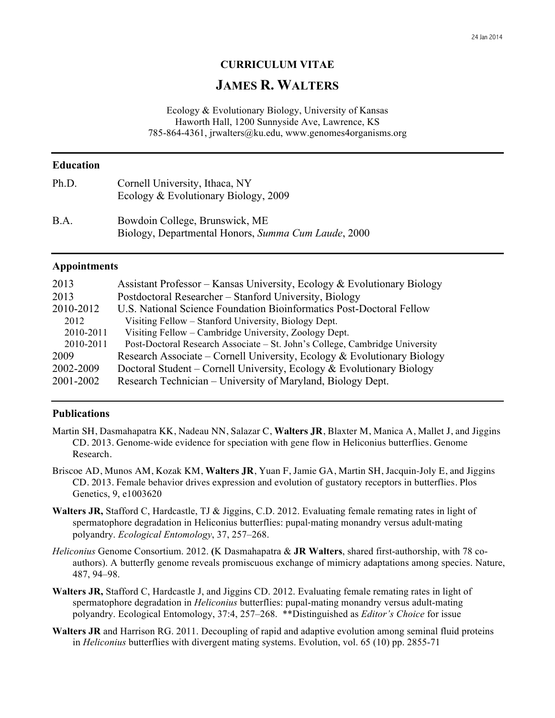### **CURRICULUM VITAE**

# **JAMES R. WALTERS**

Ecology & Evolutionary Biology, University of Kansas Haworth Hall, 1200 Sunnyside Ave, Lawrence, KS 785-864-4361, jrwalters@ku.edu, www.genomes4organisms.org

### **Education**

| Ph.D. | Cornell University, Ithaca, NY<br>Ecology & Evolutionary Biology, 2009                |
|-------|---------------------------------------------------------------------------------------|
| B.A.  | Bowdoin College, Brunswick, ME<br>Biology, Departmental Honors, Summa Cum Laude, 2000 |

#### **Appointments**

| 2013      | Assistant Professor – Kansas University, Ecology & Evolutionary Biology     |  |
|-----------|-----------------------------------------------------------------------------|--|
| 2013      | Postdoctoral Researcher – Stanford University, Biology                      |  |
| 2010-2012 | U.S. National Science Foundation Bioinformatics Post-Doctoral Fellow        |  |
| 2012      | Visiting Fellow – Stanford University, Biology Dept.                        |  |
| 2010-2011 | Visiting Fellow – Cambridge University, Zoology Dept.                       |  |
| 2010-2011 | Post-Doctoral Research Associate – St. John's College, Cambridge University |  |
| 2009      | Research Associate – Cornell University, Ecology & Evolutionary Biology     |  |
| 2002-2009 | Doctoral Student – Cornell University, Ecology & Evolutionary Biology       |  |
| 2001-2002 | Research Technician – University of Maryland, Biology Dept.                 |  |

#### **Publications**

- Martin SH, Dasmahapatra KK, Nadeau NN, Salazar C, **Walters JR**, Blaxter M, Manica A, Mallet J, and Jiggins CD. 2013. Genome-wide evidence for speciation with gene flow in Heliconius butterflies. Genome Research.
- Briscoe AD, Munos AM, Kozak KM, **Walters JR**, Yuan F, Jamie GA, Martin SH, Jacquin-Joly E, and Jiggins CD. 2013. Female behavior drives expression and evolution of gustatory receptors in butterflies. Plos Genetics, 9, e1003620
- **Walters JR,** Stafford C, Hardcastle, TJ & Jiggins, C.D. 2012. Evaluating female remating rates in light of spermatophore degradation in Heliconius butterflies: pupal-mating monandry versus adult-mating polyandry. *Ecological Entomology*, 37, 257–268.
- *Heliconius* Genome Consortium. 2012. **(**K Dasmahapatra & **JR Walters**, shared first-authorship, with 78 coauthors). A butterfly genome reveals promiscuous exchange of mimicry adaptations among species. Nature, 487, 94–98.
- **Walters JR,** Stafford C, Hardcastle J, and Jiggins CD. 2012. Evaluating female remating rates in light of spermatophore degradation in *Heliconius* butterflies: pupal-mating monandry versus adult-mating polyandry. Ecological Entomology, 37:4, 257–268. \*\*Distinguished as *Editor's Choice* for issue
- **Walters JR** and Harrison RG. 2011. Decoupling of rapid and adaptive evolution among seminal fluid proteins in *Heliconius* butterflies with divergent mating systems. Evolution, vol. 65 (10) pp. 2855-71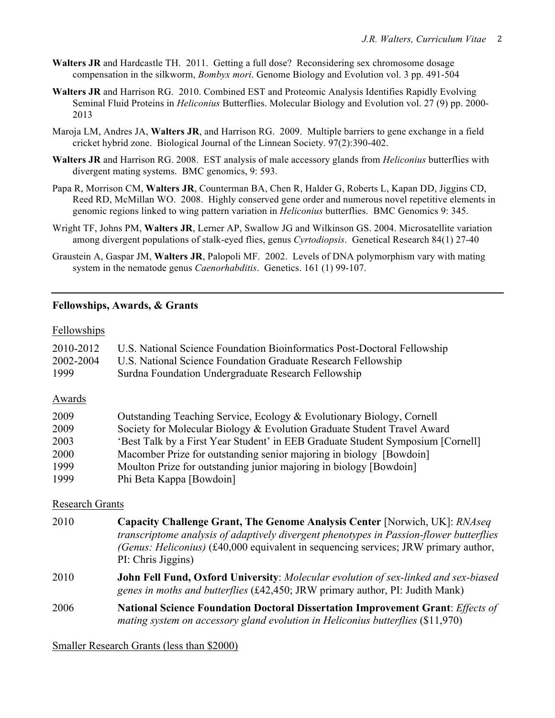- **Walters JR** and Hardcastle TH. 2011. Getting a full dose? Reconsidering sex chromosome dosage compensation in the silkworm, *Bombyx mori*. Genome Biology and Evolution vol. 3 pp. 491-504
- **Walters JR** and Harrison RG.2010. Combined EST and Proteomic Analysis Identifies Rapidly Evolving Seminal Fluid Proteins in *Heliconius* Butterflies. Molecular Biology and Evolution vol. 27 (9) pp. 2000- 2013
- Maroja LM, Andres JA, **Walters JR**, and Harrison RG. 2009. Multiple barriers to gene exchange in a field cricket hybrid zone. Biological Journal of the Linnean Society. 97(2):390-402.
- **Walters JR** and Harrison RG. 2008. EST analysis of male accessory glands from *Heliconius* butterflies with divergent mating systems. BMC genomics, 9: 593.
- Papa R, Morrison CM, **Walters JR**, Counterman BA, Chen R, Halder G, Roberts L, Kapan DD, Jiggins CD, Reed RD, McMillan WO. 2008. Highly conserved gene order and numerous novel repetitive elements in genomic regions linked to wing pattern variation in *Heliconius* butterflies. BMC Genomics 9: 345.
- Wright TF, Johns PM, **Walters JR**, Lerner AP, Swallow JG and Wilkinson GS. 2004. Microsatellite variation among divergent populations of stalk-eyed flies, genus *Cyrtodiopsis*. Genetical Research 84(1) 27-40
- Graustein A, Gaspar JM, **Walters JR**, Palopoli MF. 2002. Levels of DNA polymorphism vary with mating system in the nematode genus *Caenorhabditis*. Genetics. 161 (1) 99-107.

### **Fellowships, Awards, & Grants**

### Fellowships

| 2010-2012 | U.S. National Science Foundation Bioinformatics Post-Doctoral Fellowship        |
|-----------|---------------------------------------------------------------------------------|
| 2002-2004 | U.S. National Science Foundation Graduate Research Fellowship                   |
| 1999      | Surdna Foundation Undergraduate Research Fellowship                             |
| Awards    |                                                                                 |
| 2009      | Outstanding Teaching Service, Ecology & Evolutionary Biology, Cornell           |
| 2009      | Society for Molecular Biology & Evolution Graduate Student Travel Award         |
| 2003      | 'Best Talk by a First Year Student' in EEB Graduate Student Symposium [Cornell] |
| 2000      | Macomber Prize for outstanding senior majoring in biology [Bowdoin]             |
| 1999      | Moulton Prize for outstanding junior majoring in biology [Bowdoin]              |
| 1999      | Phi Beta Kappa [Bowdoin]                                                        |

#### Research Grants

- 2010 **Capacity Challenge Grant, The Genome Analysis Center** [Norwich, UK]: *RNAseq transcriptome analysis of adaptively divergent phenotypes in Passion-flower butterflies (Genus: Heliconius)* (£40,000 equivalent in sequencing services; JRW primary author, PI: Chris Jiggins)
- 2010 **John Fell Fund, Oxford University**: *Molecular evolution of sex-linked and sex-biased genes in moths and butterflies* (£42,450; JRW primary author, PI: Judith Mank)
- 2006 **National Science Foundation Doctoral Dissertation Improvement Grant**: *Effects of mating system on accessory gland evolution in Heliconius butterflies* (\$11,970)

#### Smaller Research Grants (less than \$2000)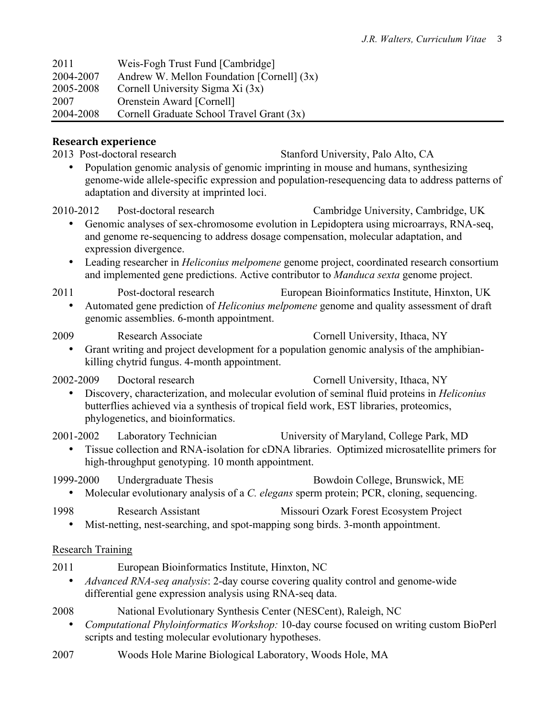| 2011      | Weis-Fogh Trust Fund [Cambridge]           |
|-----------|--------------------------------------------|
| 2004-2007 | Andrew W. Mellon Foundation [Cornell] (3x) |
| 2005-2008 | Cornell University Sigma Xi (3x)           |
| 2007      | Orenstein Award [Cornell]                  |
| 2004-2008 | Cornell Graduate School Travel Grant (3x)  |

### **Research experience**

2013 Post-doctoral research Stanford University, Palo Alto, CA

• Population genomic analysis of genomic imprinting in mouse and humans, synthesizing genome-wide allele-specific expression and population-resequencing data to address patterns of adaptation and diversity at imprinted loci.

2010-2012 Post-doctoral research Cambridge University, Cambridge, UK • Genomic analyses of sex-chromosome evolution in Lepidoptera using microarrays, RNA-seq, and genome re-sequencing to address dosage compensation, molecular adaptation, and expression divergence.

• Leading researcher in *Heliconius melpomene* genome project, coordinated research consortium and implemented gene predictions. Active contributor to *Manduca sexta* genome project.

2011 Post-doctoral research European Bioinformatics Institute, Hinxton, UK

• Automated gene prediction of *Heliconius melpomene* genome and quality assessment of draft genomic assemblies. 6-month appointment.

## 2009 Research Associate Cornell University, Ithaca, NY

• Grant writing and project development for a population genomic analysis of the amphibiankilling chytrid fungus. 4-month appointment.

2002-2009 Doctoral research Cornell University, Ithaca, NY • Discovery, characterization, and molecular evolution of seminal fluid proteins in *Heliconius* butterflies achieved via a synthesis of tropical field work, EST libraries, proteomics,

phylogenetics, and bioinformatics.

2001-2002 Laboratory Technician University of Maryland, College Park, MD

• Tissue collection and RNA-isolation for cDNA libraries. Optimized microsatellite primers for high-throughput genotyping. 10 month appointment.

1999-2000 Undergraduate Thesis Bowdoin College, Brunswick, ME

• Molecular evolutionary analysis of a *C. elegans* sperm protein; PCR, cloning, sequencing.

1998 Research Assistant Missouri Ozark Forest Ecosystem Project

• Mist-netting, nest-searching, and spot-mapping song birds. 3-month appointment.

## Research Training

- 2011 European Bioinformatics Institute, Hinxton, NC
	- *Advanced RNA-seq analysis*: 2-day course covering quality control and genome-wide differential gene expression analysis using RNA-seq data.

2008 National Evolutionary Synthesis Center (NESCent), Raleigh, NC

- *Computational Phyloinformatics Workshop:* 10-day course focused on writing custom BioPerl scripts and testing molecular evolutionary hypotheses.
- 2007 Woods Hole Marine Biological Laboratory, Woods Hole, MA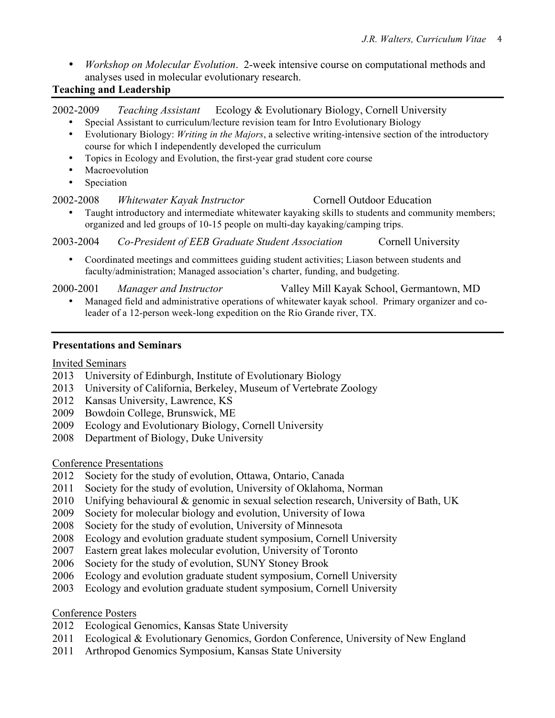- *Workshop on Molecular Evolution*. 2-week intensive course on computational methods and analyses used in molecular evolutionary research.
- **Teaching and Leadership**

2002-2009 *Teaching Assistant* Ecology & Evolutionary Biology, Cornell University

- Special Assistant to curriculum/lecture revision team for Intro Evolutionary Biology
- Evolutionary Biology: *Writing in the Majors*, a selective writing-intensive section of the introductory course for which I independently developed the curriculum
- Topics in Ecology and Evolution, the first-year grad student core course
- Macroevolution
- Speciation

### 2002-2008 *Whitewater Kayak Instructor* Cornell Outdoor Education

• Taught introductory and intermediate whitewater kayaking skills to students and community members; organized and led groups of 10-15 people on multi-day kayaking/camping trips.

2003-2004 *Co-President of EEB Graduate Student Association* Cornell University

• Coordinated meetings and committees guiding student activities; Liason between students and faculty/administration; Managed association's charter, funding, and budgeting.

2000-2001 *Manager and Instructor* Valley Mill Kayak School, Germantown, MD • Managed field and administrative operations of whitewater kayak school. Primary organizer and co-

leader of a 12-person week-long expedition on the Rio Grande river, TX.

### **Presentations and Seminars**

Invited Seminars

- 2013 University of Edinburgh, Institute of Evolutionary Biology
- 2013 University of California, Berkeley, Museum of Vertebrate Zoology
- 2012 Kansas University, Lawrence, KS
- 2009 Bowdoin College, Brunswick, ME
- 2009 Ecology and Evolutionary Biology, Cornell University
- 2008 Department of Biology, Duke University

### Conference Presentations

- 2012 Society for the study of evolution, Ottawa, Ontario, Canada
- 2011 Society for the study of evolution, University of Oklahoma, Norman
- 2010 Unifying behavioural & genomic in sexual selection research, University of Bath, UK
- 2009 Society for molecular biology and evolution, University of Iowa
- 2008 Society for the study of evolution, University of Minnesota
- 2008 Ecology and evolution graduate student symposium, Cornell University
- 2007 Eastern great lakes molecular evolution, University of Toronto
- 2006 Society for the study of evolution, SUNY Stoney Brook
- 2006 Ecology and evolution graduate student symposium, Cornell University
- 2003 Ecology and evolution graduate student symposium, Cornell University

### Conference Posters

- 2012 Ecological Genomics, Kansas State University
- 2011 Ecological & Evolutionary Genomics, Gordon Conference, University of New England
- 2011 Arthropod Genomics Symposium, Kansas State University